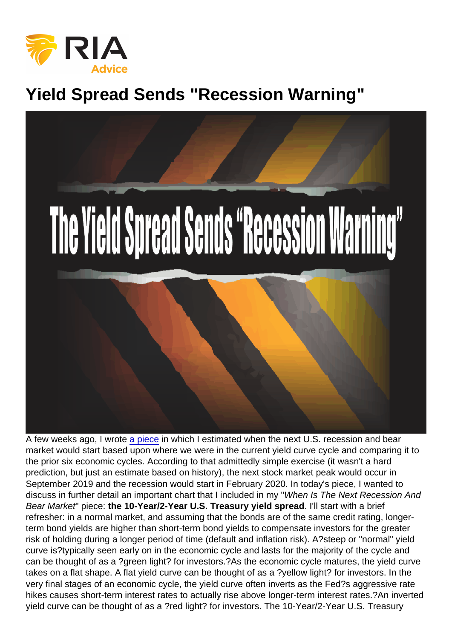## Yield Spread Sends "Recession Warning"

A few weeks ago, I wrote [a piece](https://realinvestmentadvice.com/when-is-the-next-recession-and-bear-market/) in which I estimated when the next U.S. recession and bear market would start based upon where we were in the current yield curve cycle and comparing it to the prior six economic cycles. According to that admittedly simple exercise (it wasn't a hard prediction, but just an estimate based on history), the next stock market peak would occur in September 2019 and the recession would start in February 2020. In today's piece, I wanted to discuss in further detail an important chart that I included in my "When Is The Next Recession And Bear Market" piece: the 10-Year/2-Year U.S. Treasury yield spread . I'll start with a brief refresher: in a normal market, and assuming that the bonds are of the same credit rating, longerterm bond yields are higher than short-term bond yields to compensate investors for the greater risk of holding during a longer period of time (default and inflation risk). A?steep or "normal" yield curve is?typically seen early on in the economic cycle and lasts for the majority of the cycle and can be thought of as a ?green light? for investors.?As the economic cycle matures, the yield curve takes on a flat shape. A flat yield curve can be thought of as a ?yellow light? for investors. In the very final stages of an economic cycle, the yield curve often inverts as the Fed?s aggressive rate hikes causes short-term interest rates to actually rise above longer-term interest rates.?An inverted yield curve can be thought of as a ?red light? for investors. The 10-Year/2-Year U.S. Treasury